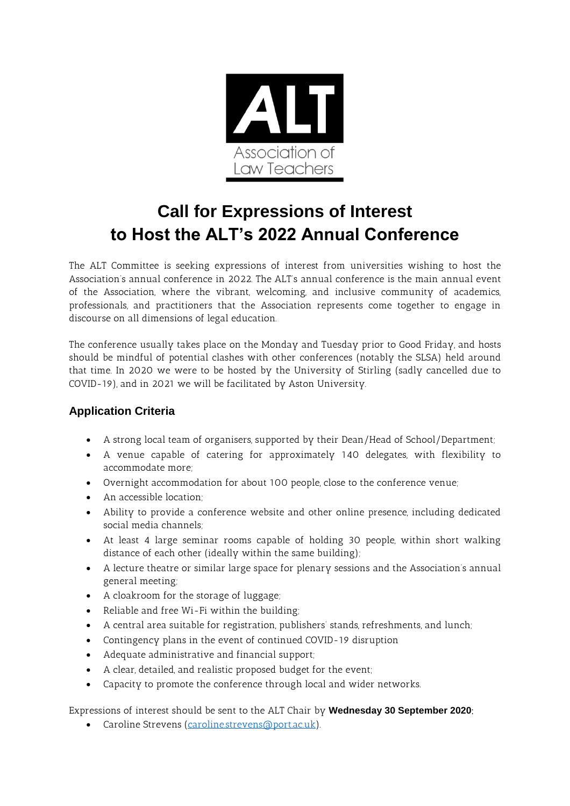

# **Call for Expressions of Interest to Host the ALT's 2022 Annual Conference**

The ALT Committee is seeking expressions of interest from universities wishing to host the Association's annual conference in 2022. The ALT's annual conference is the main annual event of the Association, where the vibrant, welcoming, and inclusive community of academics, professionals, and practitioners that the Association represents come together to engage in discourse on all dimensions of legal education.

The conference usually takes place on the Monday and Tuesday prior to Good Friday, and hosts should be mindful of potential clashes with other conferences (notably the SLSA) held around that time. In 2020 we were to be hosted by the University of Stirling (sadly cancelled due to COVID-19), and in 2021 we will be facilitated by Aston University.

# **Application Criteria**

- A strong local team of organisers, supported by their Dean/Head of School/Department;
- A venue capable of catering for approximately 140 delegates, with flexibility to accommodate more;
- Overnight accommodation for about 100 people, close to the conference venue;
- An accessible location;
- Ability to provide a conference website and other online presence, including dedicated social media channels;
- At least 4 large seminar rooms capable of holding 30 people, within short walking distance of each other (ideally within the same building);
- A lecture theatre or similar large space for plenary sessions and the Association's annual general meeting;
- A cloakroom for the storage of luggage;
- Reliable and free Wi-Fi within the building;
- A central area suitable for registration, publishers' stands, refreshments, and lunch;
- Contingency plans in the event of continued COVID-19 disruption
- Adequate administrative and financial support;
- A clear, detailed, and realistic proposed budget for the event;
- Capacity to promote the conference through local and wider networks.

Expressions of interest should be sent to the ALT Chair by **Wednesday 30 September 2020**:

• Caroline Strevens [\(caroline.strevens@port.ac.uk\)](mailto:caroline.strevens@port.ac.uk).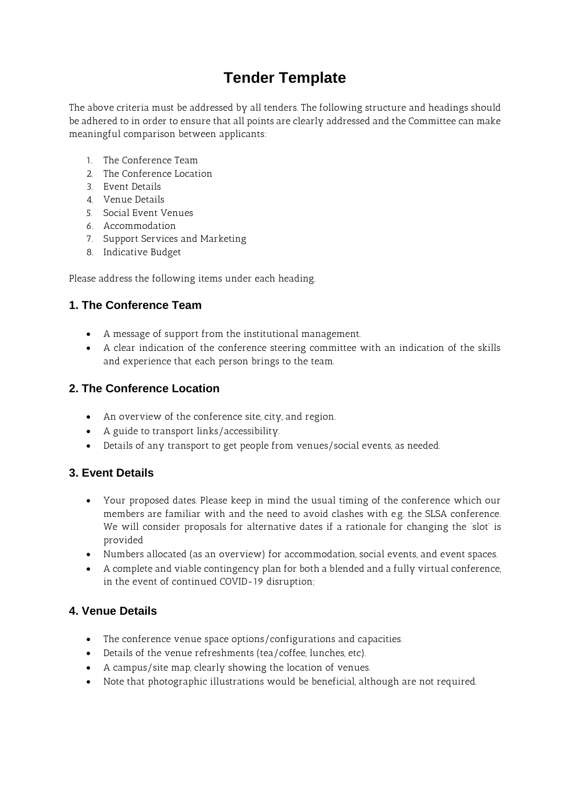# **Tender Template**

The above criteria must be addressed by all tenders. The following structure and headings should be adhered to in order to ensure that all points are clearly addressed and the Committee can make meaningful comparison between applicants:

- 1. The Conference Team
- 2. The Conference Location
- 3. Event Details
- 4. Venue Details
- 5. Social Event Venues
- 6. Accommodation
- 7. Support Services and Marketing
- 8. Indicative Budget

Please address the following items under each heading.

# **1. The Conference Team**

- A message of support from the institutional management.
- A clear indication of the conference steering committee with an indication of the skills and experience that each person brings to the team.

#### **2. The Conference Location**

- An overview of the conference site, city, and region.
- A guide to transport links/accessibility.
- Details of any transport to get people from venues/social events, as needed.

#### **3. Event Details**

- Your proposed dates. Please keep in mind the usual timing of the conference which our members are familiar with and the need to avoid clashes with e.g. the SLSA conference. We will consider proposals for alternative dates if a rationale for changing the 'slot' is provided
- Numbers allocated (as an overview) for accommodation, social events, and event spaces.
- A complete and viable contingency plan for both a blended and a fully virtual conference, in the event of continued COVID-19 disruption;

#### **4. Venue Details**

- The conference venue space options/configurations and capacities.
- Details of the venue refreshments (tea/coffee, lunches, etc).
- A campus/site map, clearly showing the location of venues.
- Note that photographic illustrations would be beneficial, although are not required.